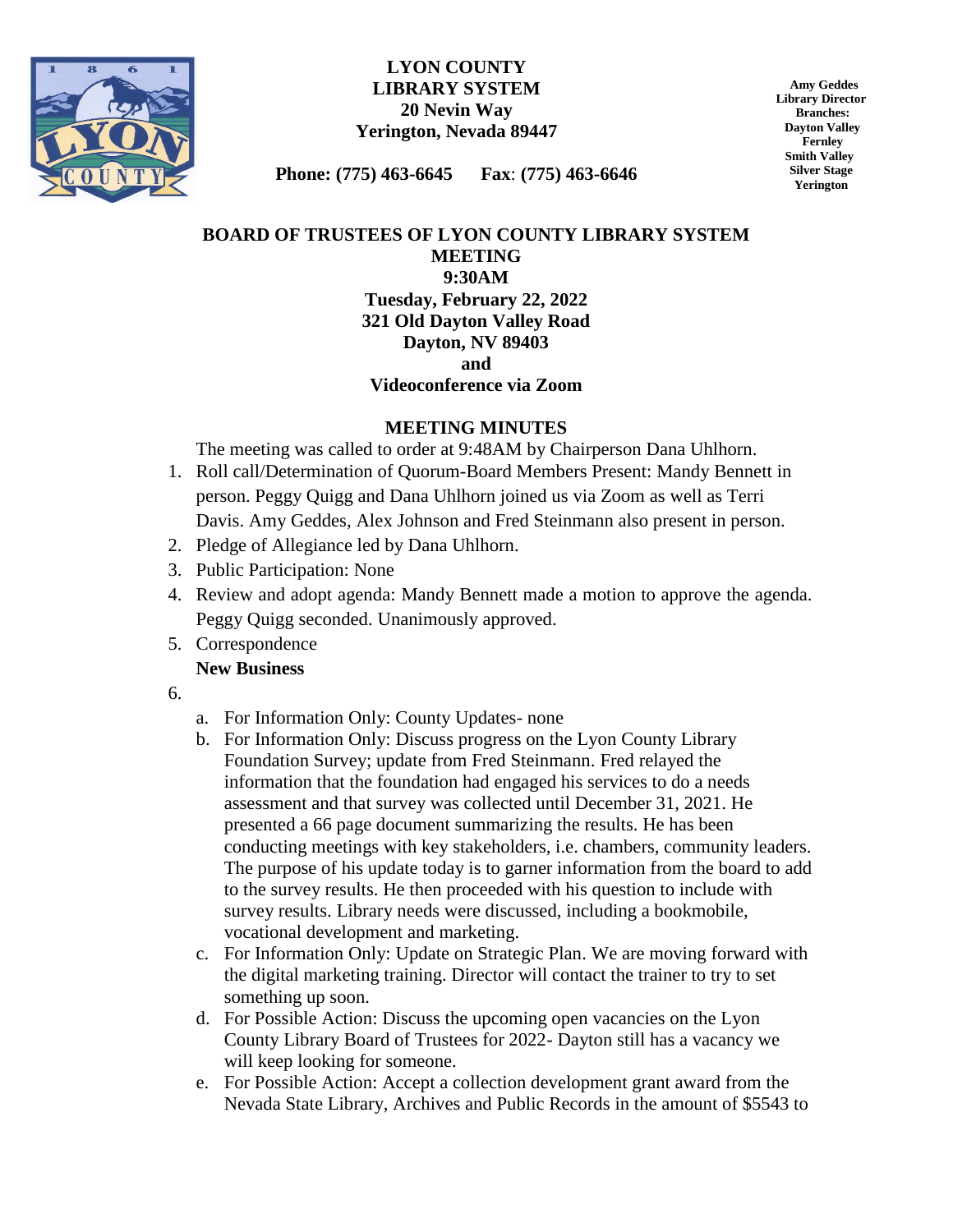

### **LYON COUNTY LIBRARY SYSTEM 20 Nevin Way Yerington, Nevada 89447**

 **Amy Geddes Library Director Branches: Dayton Valley Fernley Smith Valley Silver Stage Yerington**

**Phone: (775) 463-6645 Fax**: **(775) 463-6646**

# **BOARD OF TRUSTEES OF LYON COUNTY LIBRARY SYSTEM MEETING 9:30AM Tuesday, February 22, 2022 321 Old Dayton Valley Road Dayton, NV 89403 and**

### **Videoconference via Zoom**

## **MEETING MINUTES**

The meeting was called to order at 9:48AM by Chairperson Dana Uhlhorn.

- 1. Roll call/Determination of Quorum-Board Members Present: Mandy Bennett in person. Peggy Quigg and Dana Uhlhorn joined us via Zoom as well as Terri Davis. Amy Geddes, Alex Johnson and Fred Steinmann also present in person.
- 2. Pledge of Allegiance led by Dana Uhlhorn.
- 3. Public Participation: None
- 4. Review and adopt agenda: Mandy Bennett made a motion to approve the agenda. Peggy Quigg seconded. Unanimously approved.
- 5. Correspondence

## **New Business**

- 6.
- a. For Information Only: County Updates- none
- b. For Information Only: Discuss progress on the Lyon County Library Foundation Survey; update from Fred Steinmann. Fred relayed the information that the foundation had engaged his services to do a needs assessment and that survey was collected until December 31, 2021. He presented a 66 page document summarizing the results. He has been conducting meetings with key stakeholders, i.e. chambers, community leaders. The purpose of his update today is to garner information from the board to add to the survey results. He then proceeded with his question to include with survey results. Library needs were discussed, including a bookmobile, vocational development and marketing.
- c. For Information Only: Update on Strategic Plan. We are moving forward with the digital marketing training. Director will contact the trainer to try to set something up soon.
- d. For Possible Action: Discuss the upcoming open vacancies on the Lyon County Library Board of Trustees for 2022- Dayton still has a vacancy we will keep looking for someone.
- e. For Possible Action: Accept a collection development grant award from the Nevada State Library, Archives and Public Records in the amount of \$5543 to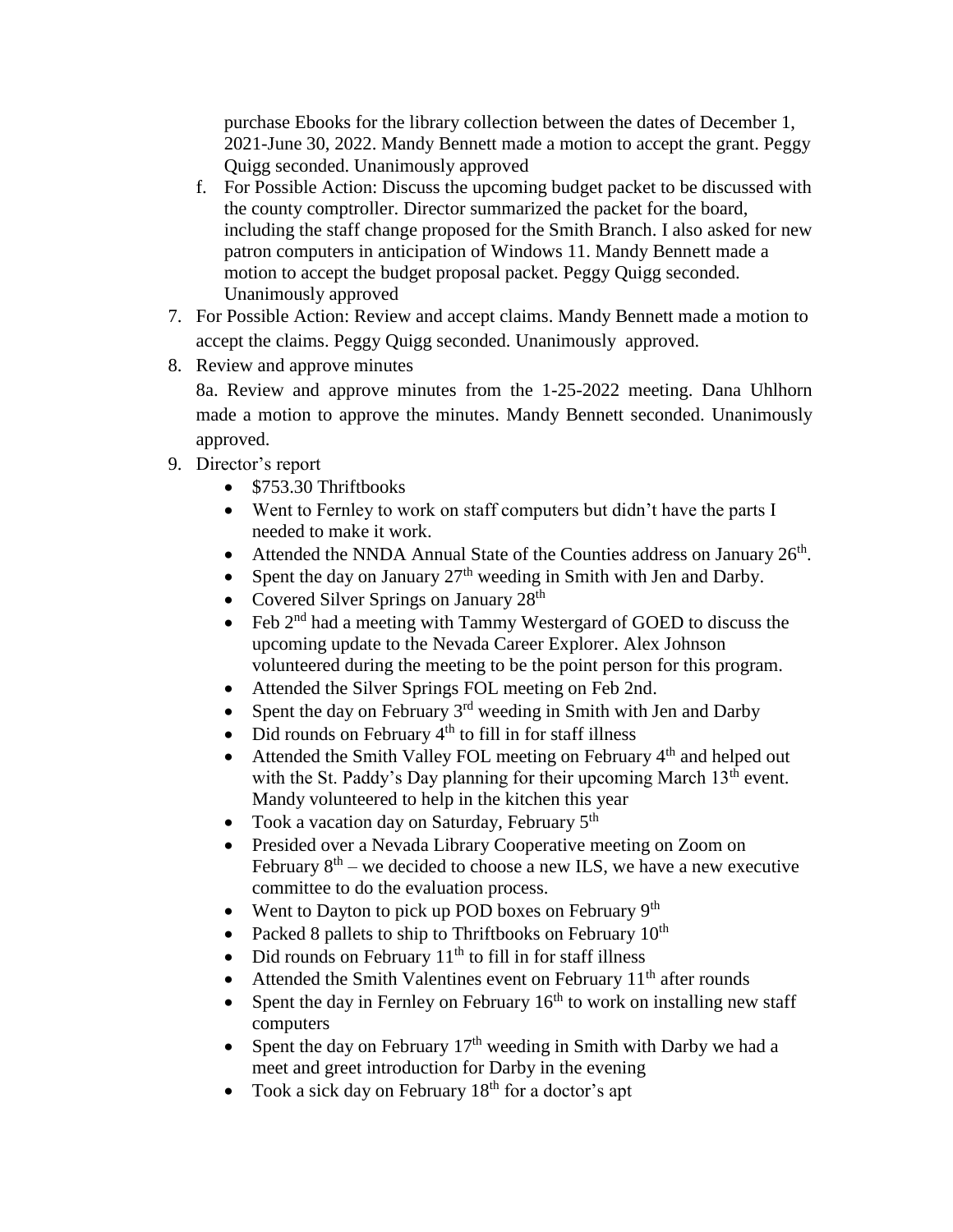purchase Ebooks for the library collection between the dates of December 1, 2021-June 30, 2022. Mandy Bennett made a motion to accept the grant. Peggy Quigg seconded. Unanimously approved

- f. For Possible Action: Discuss the upcoming budget packet to be discussed with the county comptroller. Director summarized the packet for the board, including the staff change proposed for the Smith Branch. I also asked for new patron computers in anticipation of Windows 11. Mandy Bennett made a motion to accept the budget proposal packet. Peggy Quigg seconded. Unanimously approved
- 7. For Possible Action: Review and accept claims. Mandy Bennett made a motion to accept the claims. Peggy Quigg seconded. Unanimously approved.
- 8. Review and approve minutes

8a. Review and approve minutes from the 1-25-2022 meeting. Dana Uhlhorn made a motion to approve the minutes. Mandy Bennett seconded. Unanimously approved.

- 9. Director's report
	- \$753.30 Thriftbooks
	- Went to Fernley to work on staff computers but didn't have the parts I needed to make it work.
	- Attended the NNDA Annual State of the Counties address on January  $26<sup>th</sup>$ .
	- Spent the day on January  $27<sup>th</sup>$  weeding in Smith with Jen and Darby.
	- Covered Silver Springs on January  $28<sup>th</sup>$
	- $\bullet$  Feb 2<sup>nd</sup> had a meeting with Tammy Westergard of GOED to discuss the upcoming update to the Nevada Career Explorer. Alex Johnson volunteered during the meeting to be the point person for this program.
	- Attended the Silver Springs FOL meeting on Feb 2nd.
	- Spent the day on February  $3<sup>rd</sup>$  weeding in Smith with Jen and Darby
	- $\bullet$  Did rounds on February  $4<sup>th</sup>$  to fill in for staff illness
	- $\bullet$  Attended the Smith Valley FOL meeting on February  $4<sup>th</sup>$  and helped out with the St. Paddy's Day planning for their upcoming March 13<sup>th</sup> event. Mandy volunteered to help in the kitchen this year
	- Took a vacation day on Saturday, February  $5<sup>th</sup>$
	- Presided over a Nevada Library Cooperative meeting on Zoom on February  $8<sup>th</sup>$  – we decided to choose a new ILS, we have a new executive committee to do the evaluation process.
	- Went to Dayton to pick up POD boxes on February 9<sup>th</sup>
	- Packed 8 pallets to ship to Thriftbooks on February  $10^{th}$
	- Did rounds on February  $11<sup>th</sup>$  to fill in for staff illness
	- Attended the Smith Valentines event on February  $11<sup>th</sup>$  after rounds
	- Spent the day in Fernley on February  $16<sup>th</sup>$  to work on installing new staff computers
	- Spent the day on February  $17<sup>th</sup>$  weeding in Smith with Darby we had a meet and greet introduction for Darby in the evening
	- Took a sick day on February  $18<sup>th</sup>$  for a doctor's apt